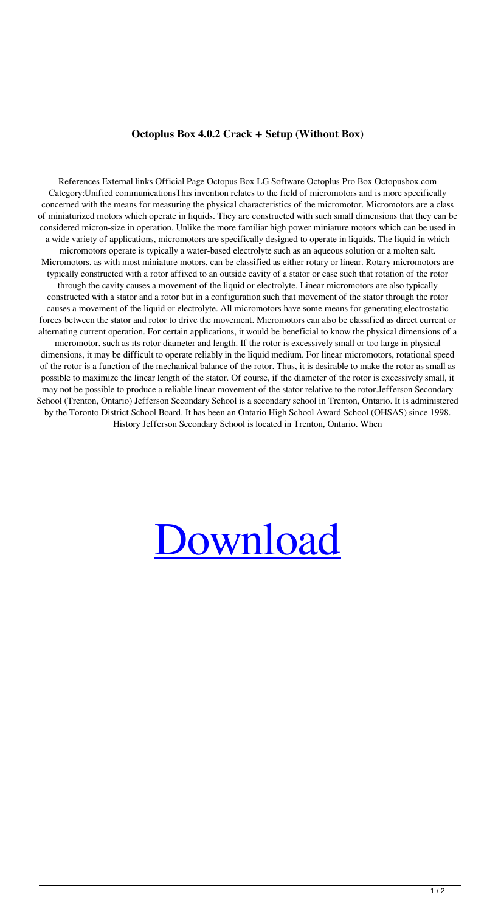## **Octoplus Box 4.0.2 Crack + Setup (Without Box)**

References External links Official Page Octopus Box LG Software Octoplus Pro Box Octopusbox.com Category:Unified communicationsThis invention relates to the field of micromotors and is more specifically concerned with the means for measuring the physical characteristics of the micromotor. Micromotors are a class of miniaturized motors which operate in liquids. They are constructed with such small dimensions that they can be considered micron-size in operation. Unlike the more familiar high power miniature motors which can be used in a wide variety of applications, micromotors are specifically designed to operate in liquids. The liquid in which micromotors operate is typically a water-based electrolyte such as an aqueous solution or a molten salt. Micromotors, as with most miniature motors, can be classified as either rotary or linear. Rotary micromotors are typically constructed with a rotor affixed to an outside cavity of a stator or case such that rotation of the rotor through the cavity causes a movement of the liquid or electrolyte. Linear micromotors are also typically constructed with a stator and a rotor but in a configuration such that movement of the stator through the rotor causes a movement of the liquid or electrolyte. All micromotors have some means for generating electrostatic forces between the stator and rotor to drive the movement. Micromotors can also be classified as direct current or alternating current operation. For certain applications, it would be beneficial to know the physical dimensions of a micromotor, such as its rotor diameter and length. If the rotor is excessively small or too large in physical dimensions, it may be difficult to operate reliably in the liquid medium. For linear micromotors, rotational speed of the rotor is a function of the mechanical balance of the rotor. Thus, it is desirable to make the rotor as small as possible to maximize the linear length of the stator. Of course, if the diameter of the rotor is excessively small, it may not be possible to produce a reliable linear movement of the stator relative to the rotor.Jefferson Secondary School (Trenton, Ontario) Jefferson Secondary School is a secondary school in Trenton, Ontario. It is administered by the Toronto District School Board. It has been an Ontario High School Award School (OHSAS) since 1998. History Jefferson Secondary School is located in Trenton, Ontario. When

## [Download](http://evacdir.com/margarines/curbs?dibasic=ZG93bmxvYWR8d1Q4T1RRMmJIeDhNVFkxTlRnME1qazRNWHg4TWpVNU1IeDhLRTBwSUZkdmNtUndjbVZ6Y3lCYldFMU1VbEJESUZZeUlGQkVSbDA.b2N0b3BsdXMgbGcgc29mdHdhcmUgY3JhY2sga2V5Z2Vub2N.hematocrit.seeping&subsection=quicktest)